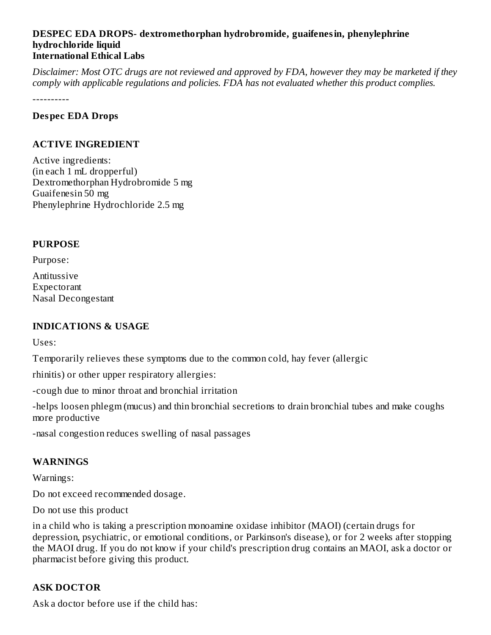#### **DESPEC EDA DROPS- dextromethorphan hydrobromide, guaifenesin, phenylephrine hydrochloride liquid International Ethical Labs**

Disclaimer: Most OTC drugs are not reviewed and approved by FDA, however they may be marketed if they *comply with applicable regulations and policies. FDA has not evaluated whether this product complies.*

----------

#### **Despec EDA Drops**

#### **ACTIVE INGREDIENT**

Active ingredients: (in each 1 mL dropperful) Dextromethorphan Hydrobromide 5 mg Guaifenesin 50 mg Phenylephrine Hydrochloride 2.5 mg

#### **PURPOSE**

Purpose:

Antitussive Expectorant Nasal Decongestant

### **INDICATIONS & USAGE**

Uses:

Temporarily relieves these symptoms due to the common cold, hay fever (allergic

rhinitis) or other upper respiratory allergies:

-cough due to minor throat and bronchial irritation

-helps loosen phlegm (mucus) and thin bronchial secretions to drain bronchial tubes and make coughs more productive

-nasal congestion reduces swelling of nasal passages

#### **WARNINGS**

Warnings:

Do not exceed recommended dosage.

Do not use this product

in a child who is taking a prescription monoamine oxidase inhibitor (MAOI) (certain drugs for depression, psychiatric, or emotional conditions, or Parkinson's disease), or for 2 weeks after stopping the MAOI drug. If you do not know if your child's prescription drug contains an MAOI, ask a doctor or pharmacist before giving this product.

### **ASK DOCTOR**

Ask a doctor before use if the child has: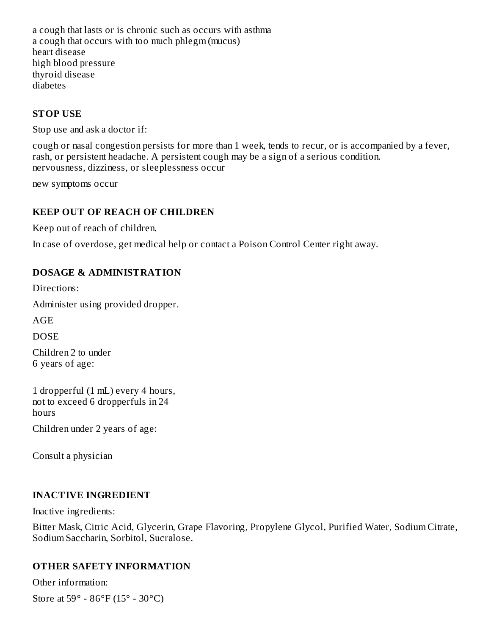a cough that lasts or is chronic such as occurs with asthma a cough that occurs with too much phlegm (mucus) heart disease high blood pressure thyroid disease diabetes

#### **STOP USE**

Stop use and ask a doctor if:

cough or nasal congestion persists for more than 1 week, tends to recur, or is accompanied by a fever, rash, or persistent headache. A persistent cough may be a sign of a serious condition. nervousness, dizziness, or sleeplessness occur

new symptoms occur

#### **KEEP OUT OF REACH OF CHILDREN**

Keep out of reach of children.

In case of overdose, get medical help or contact a Poison Control Center right away.

#### **DOSAGE & ADMINISTRATION**

Directions:

Administer using provided dropper.

AGE

**DOSE** 

Children 2 to under 6 years of age:

1 dropperful (1 mL) every 4 hours, not to exceed 6 dropperfuls in 24 hours Children under 2 years of age:

Consult a physician

#### **INACTIVE INGREDIENT**

Inactive ingredients:

Bitter Mask, Citric Acid, Glycerin, Grape Flavoring, Propylene Glycol, Purified Water, Sodium Citrate, Sodium Saccharin, Sorbitol, Sucralose.

### **OTHER SAFETY INFORMATION**

Other information: Store at 59° - 86°F (15° - 30°C)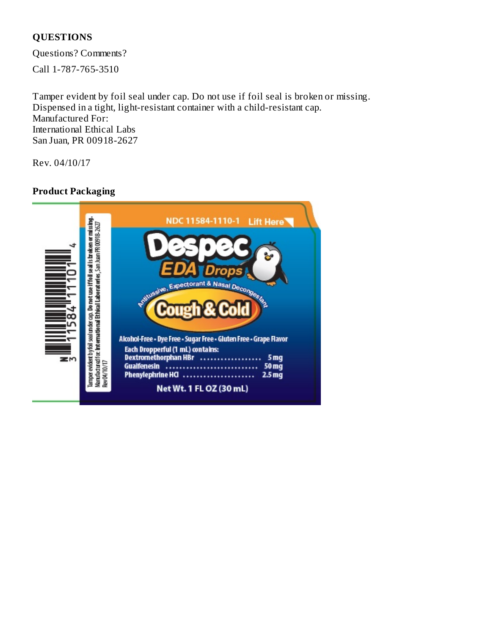# **QUESTIONS**

Questions? Comments?

Call 1-787-765-3510

Tamper evident by foil seal under cap. Do not use if foil seal is broken or missing. Dispensed in a tight, light-resistant container with a child-resistant cap. Manufactured For: International Ethical Labs San Juan, PR 00918-2627

Rev. 04/10/17

# **Product Packaging**

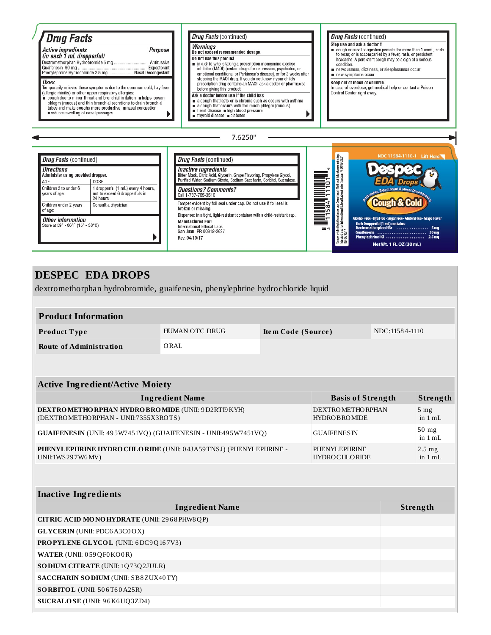

## **DESPEC EDA DROPS**

dextromethorphan hydrobromide, guaifenesin, phenylephrine hydrochloride liquid

| <b>Product Information</b> |                |                    |                |  |  |
|----------------------------|----------------|--------------------|----------------|--|--|
| Product Type               | HUMAN OTC DRUG | Item Code (Source) | NDC:11584-1110 |  |  |
| Route of Administration    | ORAL           |                    |                |  |  |

| <b>Active Ingredient/Active Moiety</b> |  |  |  |  |  |
|----------------------------------------|--|--|--|--|--|
|----------------------------------------|--|--|--|--|--|

| <b>Ingredient Name</b>                                           | <b>Basis of Strength</b> | Strength                     |
|------------------------------------------------------------------|--------------------------|------------------------------|
| DEXTROMETHORPHAN HYDROBROMIDE (UNII: 9D2RTI9KYH)                 | <b>DEXTROMETHORPHAN</b>  | 5 <sub>mg</sub>              |
| (DEXTROMETHORPHAN - UNII:7355X3ROTS)                             | <b>HYDROBROMIDE</b>      | in 1 mL                      |
| GUAIFENESIN (UNII: 495W7451VO) (GUAIFENESIN - UNII:495W7451VO)   | <b>GUAIFENESIN</b>       | $50$ mg<br>in $1 \text{ mL}$ |
| PHENYLEPHRINE HYDRO CHLORIDE (UNII: 04JA59TNSJ) (PHENYLEPHRINE - | PHENYLEPHRINE            | $2.5 \text{ mg}$             |
| UNII:1WS297W6MV)                                                 | <b>HYDROCHLORIDE</b>     | in 1 mL                      |

#### **Inactive Ingredients**

| <b>Ingredient Name</b>                            | Strength |
|---------------------------------------------------|----------|
| <b>CITRIC ACID MONOHYDRATE (UNII: 2968PHW8QP)</b> |          |
| <b>GLYCERIN</b> (UNII: PDC6A3C0OX)                |          |
| <b>PROPYLENE GLYCOL</b> (UNII: 6DC9Q167V3)        |          |
| <b>WATER (UNII: 059 QF0 KO0 R)</b>                |          |
| <b>SODIUM CITRATE (UNII: 1Q73Q2JULR)</b>          |          |
| <b>SACCHARIN SODIUM (UNII: SB8ZUX40TY)</b>        |          |
| <b>SORBITOL</b> (UNII: $506T60A25R$ )             |          |
| SUCRALOSE (UNII: 96K6UQ3ZD4)                      |          |
|                                                   |          |